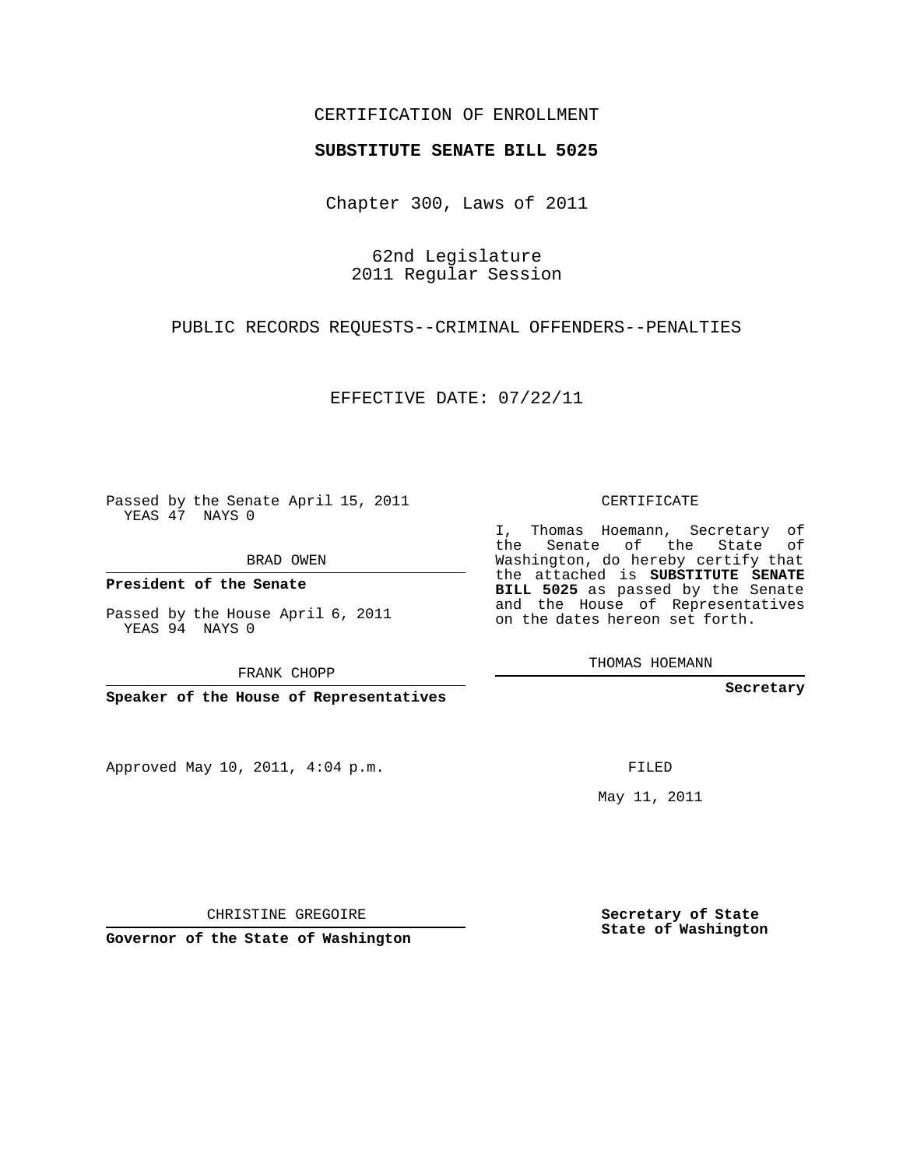## CERTIFICATION OF ENROLLMENT

### **SUBSTITUTE SENATE BILL 5025**

Chapter 300, Laws of 2011

62nd Legislature 2011 Regular Session

PUBLIC RECORDS REQUESTS--CRIMINAL OFFENDERS--PENALTIES

EFFECTIVE DATE: 07/22/11

Passed by the Senate April 15, 2011 YEAS 47 NAYS 0

BRAD OWEN

**President of the Senate**

Passed by the House April 6, 2011 YEAS 94 NAYS 0

FRANK CHOPP

**Speaker of the House of Representatives**

Approved May 10, 2011, 4:04 p.m.

CERTIFICATE

I, Thomas Hoemann, Secretary of the Senate of the State of Washington, do hereby certify that the attached is **SUBSTITUTE SENATE BILL 5025** as passed by the Senate and the House of Representatives on the dates hereon set forth.

THOMAS HOEMANN

**Secretary**

FILED

May 11, 2011

**Secretary of State State of Washington**

CHRISTINE GREGOIRE

**Governor of the State of Washington**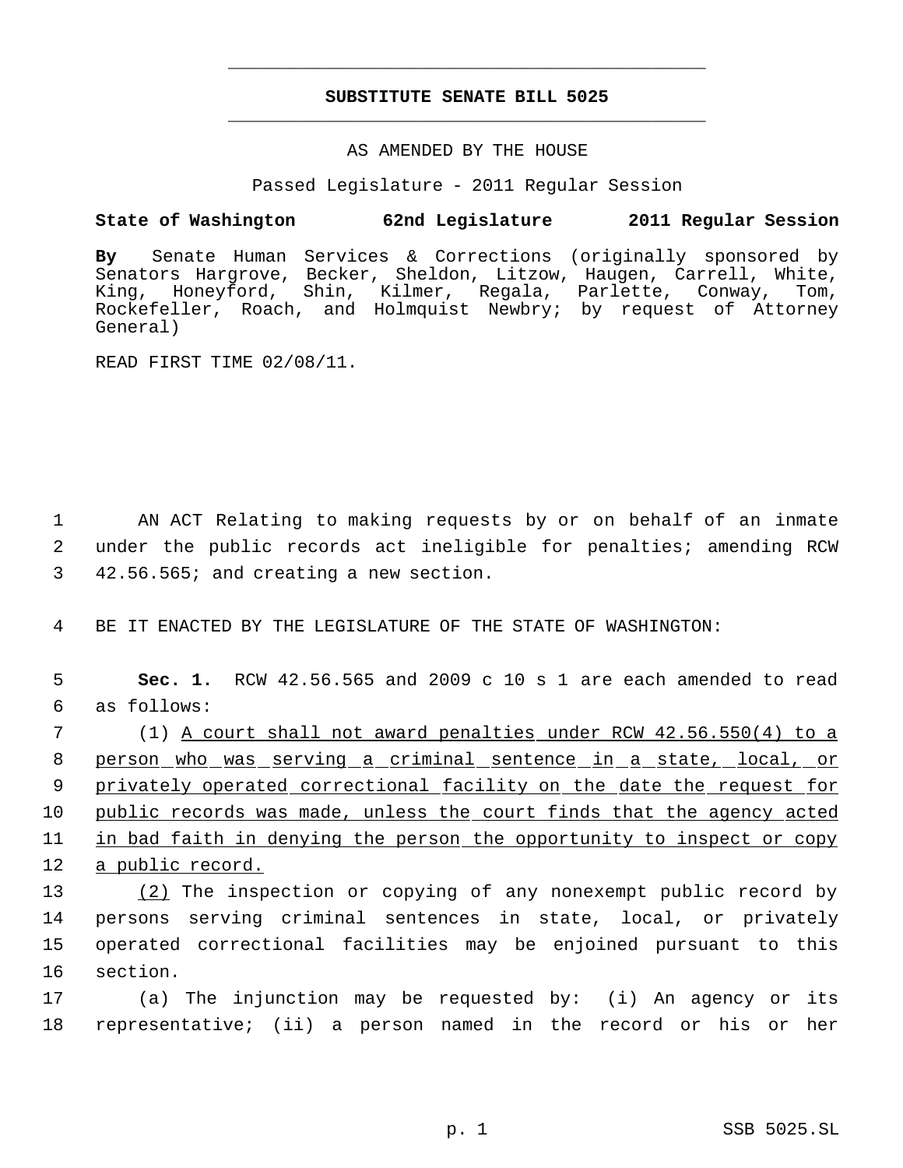# **SUBSTITUTE SENATE BILL 5025** \_\_\_\_\_\_\_\_\_\_\_\_\_\_\_\_\_\_\_\_\_\_\_\_\_\_\_\_\_\_\_\_\_\_\_\_\_\_\_\_\_\_\_\_\_

\_\_\_\_\_\_\_\_\_\_\_\_\_\_\_\_\_\_\_\_\_\_\_\_\_\_\_\_\_\_\_\_\_\_\_\_\_\_\_\_\_\_\_\_\_

### AS AMENDED BY THE HOUSE

Passed Legislature - 2011 Regular Session

## **State of Washington 62nd Legislature 2011 Regular Session**

**By** Senate Human Services & Corrections (originally sponsored by Senators Hargrove, Becker, Sheldon, Litzow, Haugen, Carrell, White, King, Honeyford, Shin, Kilmer, Regala, Parlette, Conway, Tom, Rockefeller, Roach, and Holmquist Newbry; by request of Attorney General)

READ FIRST TIME 02/08/11.

 1 AN ACT Relating to making requests by or on behalf of an inmate 2 under the public records act ineligible for penalties; amending RCW 3 42.56.565; and creating a new section.

4 BE IT ENACTED BY THE LEGISLATURE OF THE STATE OF WASHINGTON:

 5 **Sec. 1.** RCW 42.56.565 and 2009 c 10 s 1 are each amended to read 6 as follows:

 7 (1) A court shall not award penalties under RCW 42.56.550(4) to a 8 person who was serving a criminal sentence in a state, local, or 9 privately operated correctional facility on the date the request for 10 public records was made, unless the court finds that the agency acted 11 in bad faith in denying the person the opportunity to inspect or copy 12 a public record.

 (2) The inspection or copying of any nonexempt public record by persons serving criminal sentences in state, local, or privately operated correctional facilities may be enjoined pursuant to this 16 section.

17 (a) The injunction may be requested by: (i) An agency or its 18 representative; (ii) a person named in the record or his or her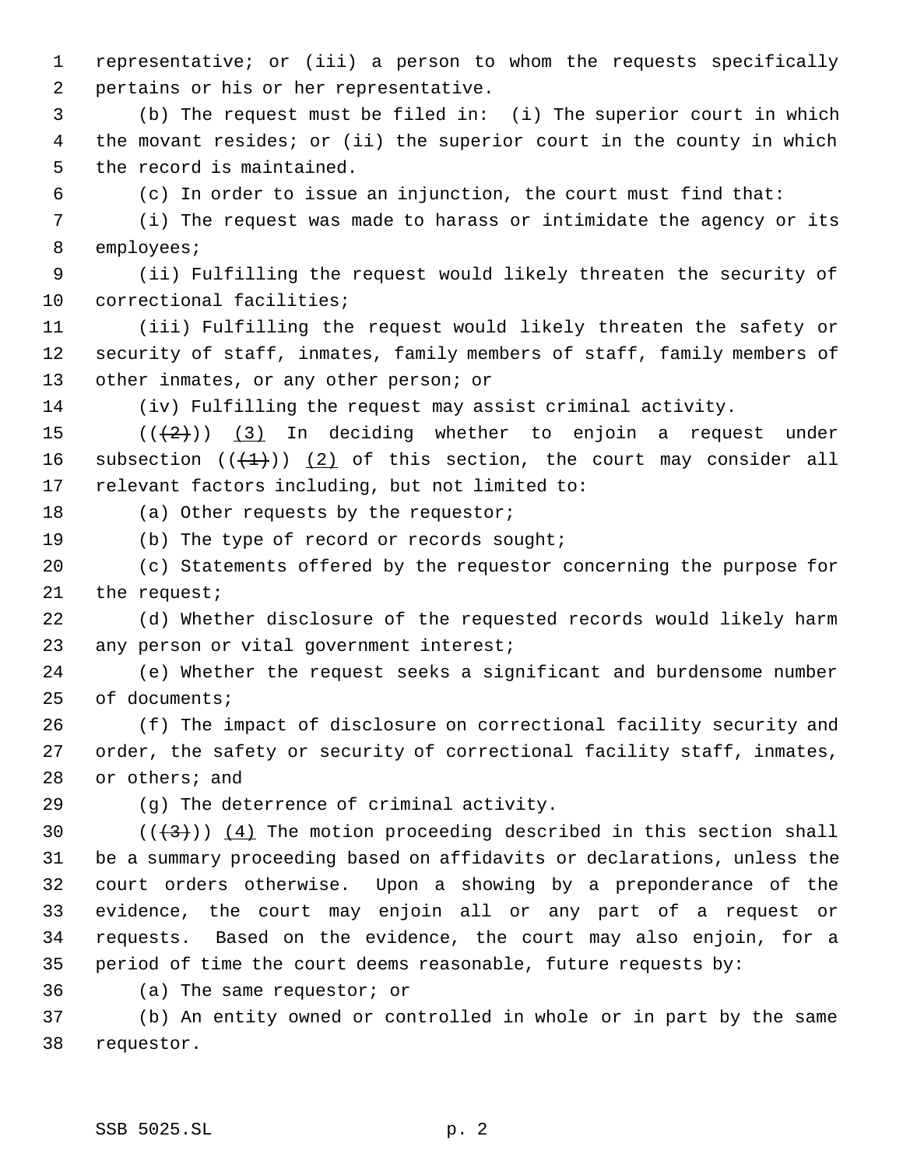representative; or (iii) a person to whom the requests specifically pertains or his or her representative.

 (b) The request must be filed in: (i) The superior court in which the movant resides; or (ii) the superior court in the county in which the record is maintained.

(c) In order to issue an injunction, the court must find that:

 (i) The request was made to harass or intimidate the agency or its employees;

 (ii) Fulfilling the request would likely threaten the security of correctional facilities;

 (iii) Fulfilling the request would likely threaten the safety or security of staff, inmates, family members of staff, family members of 13 other inmates, or any other person; or

(iv) Fulfilling the request may assist criminal activity.

15  $((+2))$   $(3)$  In deciding whether to enjoin a request under 16 subsection  $((+1))$   $(2)$  of this section, the court may consider all relevant factors including, but not limited to:

18 (a) Other requests by the requestor;

19 (b) The type of record or records sought;

 (c) Statements offered by the requestor concerning the purpose for the request;

 (d) Whether disclosure of the requested records would likely harm 23 any person or vital government interest;

 (e) Whether the request seeks a significant and burdensome number of documents;

 (f) The impact of disclosure on correctional facility security and order, the safety or security of correctional facility staff, inmates, or others; and

(g) The deterrence of criminal activity.

 $((+3))$   $(4)$  The motion proceeding described in this section shall be a summary proceeding based on affidavits or declarations, unless the court orders otherwise. Upon a showing by a preponderance of the evidence, the court may enjoin all or any part of a request or requests. Based on the evidence, the court may also enjoin, for a period of time the court deems reasonable, future requests by:

(a) The same requestor; or

 (b) An entity owned or controlled in whole or in part by the same requestor.